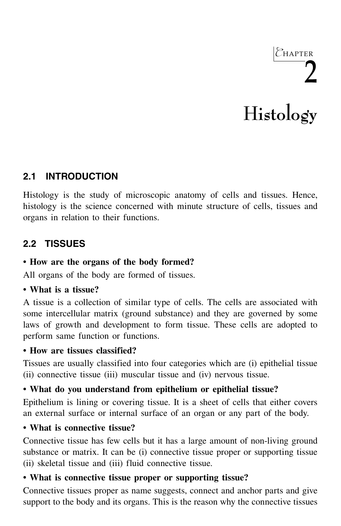# 2 **Histology**

 $C$ HAPTER

# **2.1 INTRODUCTION**

Histology is the study of microscopic anatomy of cells and tissues. Hence, histology is the science concerned with minute structure of cells, tissues and organs in relation to their functions.

# **2.2 TISSUES**

### **• How are the organs of the body formed?**

All organs of the body are formed of tissues.

#### **• What is a tissue?**

A tissue is a collection of similar type of cells. The cells are associated with some intercellular matrix (ground substance) and they are governed by some laws of growth and development to form tissue. These cells are adopted to perform same function or functions.

# **• How are tissues classified?**

Tissues are usually classified into four categories which are (i) epithelial tissue (ii) connective tissue (iii) muscular tissue and (iv) nervous tissue.

# **• What do you understand from epithelium or epithelial tissue?**

Epithelium is lining or covering tissue. It is a sheet of cells that either covers an external surface or internal surface of an organ or any part of the body.

# **• What is connective tissue?**

Connective tissue has few cells but it has a large amount of non-living ground substance or matrix. It can be (i) connective tissue proper or supporting tissue (ii) skeletal tissue and (iii) fluid connective tissue.

# **• What is connective tissue proper or supporting tissue?**

Connective tissues proper as name suggests, connect and anchor parts and give support to the body and its organs. This is the reason why the connective tissues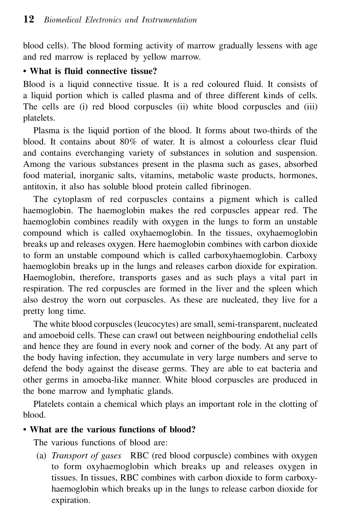blood cells). The blood forming activity of marrow gradually lessens with age and red marrow is replaced by yellow marrow.

#### **• What is fluid connective tissue?**

Blood is a liquid connective tissue. It is a red coloured fluid. It consists of a liquid portion which is called plasma and of three different kinds of cells. The cells are (i) red blood corpuscles (ii) white blood corpuscles and (iii) platelets.

 Plasma is the liquid portion of the blood. It forms about two-thirds of the blood. It contains about 80% of water. It is almost a colourless clear fluid and contains everchanging variety of substances in solution and suspension. Among the various substances present in the plasma such as gases, absorbed food material, inorganic salts, vitamins, metabolic waste products, hormones, antitoxin, it also has soluble blood protein called fibrinogen.

 The cytoplasm of red corpuscles contains a pigment which is called haemoglobin. The haemoglobin makes the red corpuscles appear red. The haemoglobin combines readily with oxygen in the lungs to form an unstable compound which is called oxyhaemoglobin. In the tissues, oxyhaemoglobin breaks up and releases oxygen. Here haemoglobin combines with carbon dioxide to form an unstable compound which is called carboxyhaemoglobin. Carboxy haemoglobin breaks up in the lungs and releases carbon dioxide for expiration. Haemoglobin, therefore, transports gases and as such plays a vital part in respiration. The red corpuscles are formed in the liver and the spleen which also destroy the worn out corpuscles. As these are nucleated, they live for a pretty long time.

 The white blood corpuscles (leucocytes) are small, semi-transparent, nucleated and amoeboid cells. These can crawl out between neighbouring endothelial cells and hence they are found in every nook and corner of the body. At any part of the body having infection, they accumulate in very large numbers and serve to defend the body against the disease germs. They are able to eat bacteria and other germs in amoeba-like manner. White blood corpuscles are produced in the bone marrow and lymphatic glands.

 Platelets contain a chemical which plays an important role in the clotting of blood.

#### **• What are the various functions of blood?**

The various functions of blood are:

 (a) *Transport of gases* RBC (red blood corpuscle) combines with oxygen to form oxyhaemoglobin which breaks up and releases oxygen in tissues. In tissues, RBC combines with carbon dioxide to form carboxyhaemoglobin which breaks up in the lungs to release carbon dioxide for expiration.